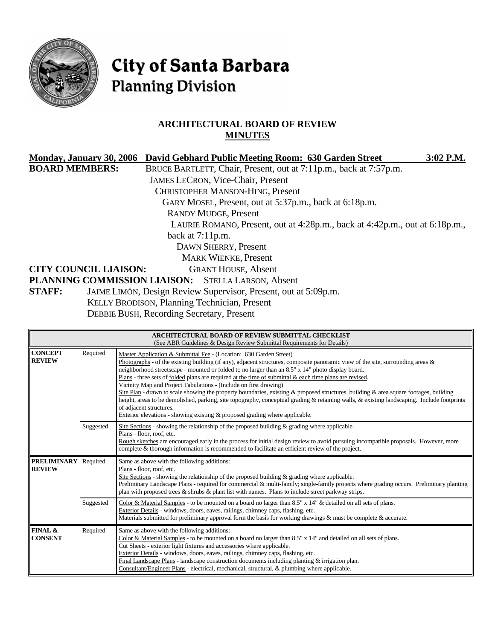

# City of Santa Barbara **Planning Division**

# **ARCHITECTURAL BOARD OF REVIEW MINUTES**

|                              | Monday, January 30, 2006 David Gebhard Public Meeting Room: 630 Garden Street |                                                                             | $3:02$ P.M. |
|------------------------------|-------------------------------------------------------------------------------|-----------------------------------------------------------------------------|-------------|
| <b>BOARD MEMBERS:</b>        |                                                                               | BRUCE BARTLETT, Chair, Present, out at 7:11p.m., back at 7:57p.m.           |             |
|                              | <b>JAMES LECRON, Vice-Chair, Present</b>                                      |                                                                             |             |
|                              | <b>CHRISTOPHER MANSON-HING, Present</b>                                       |                                                                             |             |
|                              |                                                                               | GARY MOSEL, Present, out at 5:37p.m., back at 6:18p.m.                      |             |
|                              | <b>RANDY MUDGE, Present</b>                                                   |                                                                             |             |
|                              |                                                                               | LAURIE ROMANO, Present, out at 4:28p.m., back at 4:42p.m., out at 6:18p.m., |             |
|                              | back at $7:11p.m.$                                                            |                                                                             |             |
|                              | DAWN SHERRY, Present                                                          |                                                                             |             |
|                              | <b>MARK WIENKE, Present</b>                                                   |                                                                             |             |
| <b>CITY COUNCIL LIAISON:</b> | <b>GRANT HOUSE, Absent</b>                                                    |                                                                             |             |
|                              | PLANNING COMMISSION LIAISON: STELLA LARSON, Absent                            |                                                                             |             |
| <b>STAFF:</b>                | JAIME LIMÓN, Design Review Supervisor, Present, out at 5:09p.m.               |                                                                             |             |
|                              | <b>KELLY BRODISON, Planning Technician, Present</b>                           |                                                                             |             |
|                              | <b>DEBBIE BUSH, Recording Secretary, Present</b>                              |                                                                             |             |

| ARCHITECTURAL BOARD OF REVIEW SUBMITTAL CHECKLIST<br>(See ABR Guidelines & Design Review Submittal Requirements for Details) |                                                                                                                                                                                                                                                                                                                                                                                                                                                                                                                                                                                                                                                                                                                                                                                                                                                                                                               |                                                                                                                                                                                                                                                                                                                                                                                                                                                                                                                                          |  |
|------------------------------------------------------------------------------------------------------------------------------|---------------------------------------------------------------------------------------------------------------------------------------------------------------------------------------------------------------------------------------------------------------------------------------------------------------------------------------------------------------------------------------------------------------------------------------------------------------------------------------------------------------------------------------------------------------------------------------------------------------------------------------------------------------------------------------------------------------------------------------------------------------------------------------------------------------------------------------------------------------------------------------------------------------|------------------------------------------------------------------------------------------------------------------------------------------------------------------------------------------------------------------------------------------------------------------------------------------------------------------------------------------------------------------------------------------------------------------------------------------------------------------------------------------------------------------------------------------|--|
| <b>CONCEPT</b><br><b>REVIEW</b>                                                                                              | Required<br>Master Application & Submittal Fee - (Location: 630 Garden Street)<br>Photographs - of the existing building (if any), adjacent structures, composite panoramic view of the site, surrounding areas &<br>neighborhood streetscape - mounted or folded to no larger than an 8.5" x 14" photo display board.<br>Plans - three sets of folded plans are required at the time of submittal $\&$ each time plans are revised.<br>Vicinity Map and Project Tabulations - (Include on first drawing)<br>Site Plan - drawn to scale showing the property boundaries, existing & proposed structures, building & area square footages, building<br>height, areas to be demolished, parking, site topography, conceptual grading & retaining walls, & existing landscaping. Include footprints<br>of adjacent structures.<br>Exterior elevations - showing existing $\&$ proposed grading where applicable. |                                                                                                                                                                                                                                                                                                                                                                                                                                                                                                                                          |  |
|                                                                                                                              | Suggested                                                                                                                                                                                                                                                                                                                                                                                                                                                                                                                                                                                                                                                                                                                                                                                                                                                                                                     | Site Sections - showing the relationship of the proposed building $\&$ grading where applicable.<br>Plans - floor, roof, etc.<br>Rough sketches are encouraged early in the process for initial design review to avoid pursuing incompatible proposals. However, more<br>complete & thorough information is recommended to facilitate an efficient review of the project.                                                                                                                                                                |  |
| <b>PRELIMINARY</b><br><b>REVIEW</b>                                                                                          | Required                                                                                                                                                                                                                                                                                                                                                                                                                                                                                                                                                                                                                                                                                                                                                                                                                                                                                                      | Same as above with the following additions:<br>Plans - floor, roof, etc.<br>Site Sections - showing the relationship of the proposed building $\&$ grading where applicable.<br>Preliminary Landscape Plans - required for commercial & multi-family; single-family projects where grading occurs. Preliminary planting<br>plan with proposed trees $\&$ shrubs $\&$ plant list with names. Plans to include street parkway strips.                                                                                                      |  |
|                                                                                                                              | Suggested                                                                                                                                                                                                                                                                                                                                                                                                                                                                                                                                                                                                                                                                                                                                                                                                                                                                                                     | Color & Material Samples - to be mounted on a board no larger than $8.5" \times 14"$ & detailed on all sets of plans.<br>Exterior Details - windows, doors, eaves, railings, chimney caps, flashing, etc.<br>Materials submitted for preliminary approval form the basis for working drawings & must be complete & accurate.                                                                                                                                                                                                             |  |
| <b>FINAL &amp;</b><br><b>CONSENT</b>                                                                                         | Required                                                                                                                                                                                                                                                                                                                                                                                                                                                                                                                                                                                                                                                                                                                                                                                                                                                                                                      | Same as above with the following additions:<br>Color & Material Samples - to be mounted on a board no larger than $8.5" \times 14"$ and detailed on all sets of plans.<br>Cut Sheets - exterior light fixtures and accessories where applicable.<br>Exterior Details - windows, doors, eaves, railings, chimney caps, flashing, etc.<br>Final Landscape Plans - landscape construction documents including planting $&$ irrigation plan.<br>Consultant/Engineer Plans - electrical, mechanical, structural, & plumbing where applicable. |  |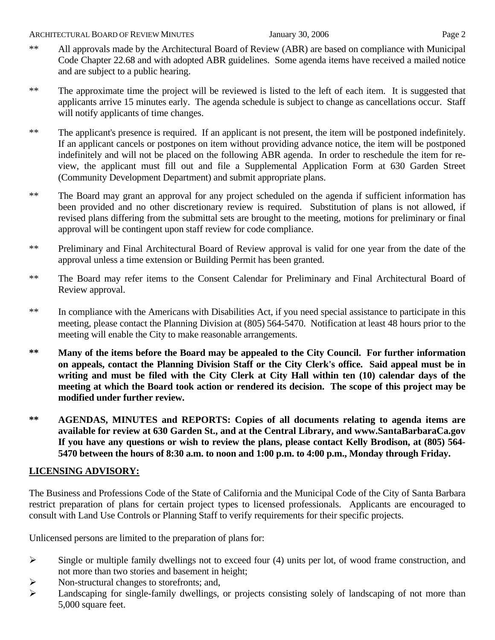- 
- \*\* All approvals made by the Architectural Board of Review (ABR) are based on compliance with Municipal Code Chapter 22.68 and with adopted ABR guidelines. Some agenda items have received a mailed notice and are subject to a public hearing.
- \*\* The approximate time the project will be reviewed is listed to the left of each item. It is suggested that applicants arrive 15 minutes early. The agenda schedule is subject to change as cancellations occur. Staff will notify applicants of time changes.
- \*\* The applicant's presence is required. If an applicant is not present, the item will be postponed indefinitely. If an applicant cancels or postpones on item without providing advance notice, the item will be postponed indefinitely and will not be placed on the following ABR agenda. In order to reschedule the item for review, the applicant must fill out and file a Supplemental Application Form at 630 Garden Street (Community Development Department) and submit appropriate plans.
- \*\* The Board may grant an approval for any project scheduled on the agenda if sufficient information has been provided and no other discretionary review is required. Substitution of plans is not allowed, if revised plans differing from the submittal sets are brought to the meeting, motions for preliminary or final approval will be contingent upon staff review for code compliance.
- \*\* Preliminary and Final Architectural Board of Review approval is valid for one year from the date of the approval unless a time extension or Building Permit has been granted.
- \*\* The Board may refer items to the Consent Calendar for Preliminary and Final Architectural Board of Review approval.
- \*\* In compliance with the Americans with Disabilities Act, if you need special assistance to participate in this meeting, please contact the Planning Division at (805) 564-5470. Notification at least 48 hours prior to the meeting will enable the City to make reasonable arrangements.
- **\*\* Many of the items before the Board may be appealed to the City Council. For further information on appeals, contact the Planning Division Staff or the City Clerk's office. Said appeal must be in writing and must be filed with the City Clerk at City Hall within ten (10) calendar days of the meeting at which the Board took action or rendered its decision. The scope of this project may be modified under further review.**
- **\*\* AGENDAS, MINUTES and REPORTS: Copies of all documents relating to agenda items are available for review at 630 Garden St., and at the Central Library, and [www.SantaBarbaraCa.gov](http://www.santabarbaraca.gov/)  If you have any questions or wish to review the plans, please contact Kelly Brodison, at (805) 564- 5470 between the hours of 8:30 a.m. to noon and 1:00 p.m. to 4:00 p.m., Monday through Friday.**

# **LICENSING ADVISORY:**

The Business and Professions Code of the State of California and the Municipal Code of the City of Santa Barbara restrict preparation of plans for certain project types to licensed professionals. Applicants are encouraged to consult with Land Use Controls or Planning Staff to verify requirements for their specific projects.

Unlicensed persons are limited to the preparation of plans for:

- $\triangleright$  Single or multiple family dwellings not to exceed four (4) units per lot, of wood frame construction, and not more than two stories and basement in height;
- ¾ Non-structural changes to storefronts; and,
- ¾ Landscaping for single-family dwellings, or projects consisting solely of landscaping of not more than 5,000 square feet.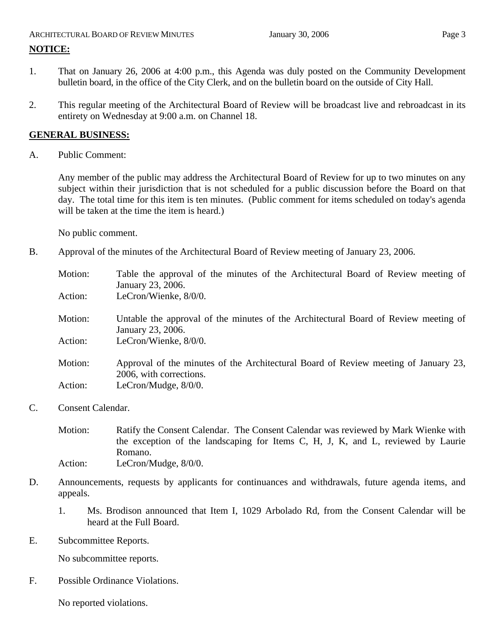# ARCHITECTURAL BOARD OF REVIEW MINUTES **First** January 30, 2006 **Page 3 NOTICE:**

- 1. That on January 26, 2006 at 4:00 p.m., this Agenda was duly posted on the Community Development bulletin board, in the office of the City Clerk, and on the bulletin board on the outside of City Hall.
- 2. This regular meeting of the Architectural Board of Review will be broadcast live and rebroadcast in its entirety on Wednesday at 9:00 a.m. on Channel 18.

# **GENERAL BUSINESS:**

A. Public Comment:

Any member of the public may address the Architectural Board of Review for up to two minutes on any subject within their jurisdiction that is not scheduled for a public discussion before the Board on that day. The total time for this item is ten minutes. (Public comment for items scheduled on today's agenda will be taken at the time the item is heard.)

No public comment.

B. Approval of the minutes of the Architectural Board of Review meeting of January 23, 2006.

| Motion: | Table the approval of the minutes of the Architectural Board of Review meeting of<br>January 23, 2006.         |
|---------|----------------------------------------------------------------------------------------------------------------|
| Action: | LeCron/Wienke, 8/0/0.                                                                                          |
| Motion: | Untable the approval of the minutes of the Architectural Board of Review meeting of<br>January 23, 2006.       |
| Action: | LeCron/Wienke, 8/0/0.                                                                                          |
| Motion: | Approval of the minutes of the Architectural Board of Review meeting of January 23,<br>2006, with corrections. |
| Action: | LeCron/Mudge, $8/0/0$ .                                                                                        |

C. Consent Calendar.

Motion: Ratify the Consent Calendar. The Consent Calendar was reviewed by Mark Wienke with the exception of the landscaping for Items C, H, J, K, and L, reviewed by Laurie Romano. Action: LeCron/Mudge,  $8/0/0$ .

- D. Announcements, requests by applicants for continuances and withdrawals, future agenda items, and appeals.
	- 1. Ms. Brodison announced that Item I, 1029 Arbolado Rd, from the Consent Calendar will be heard at the Full Board.
- E. Subcommittee Reports.

No subcommittee reports.

F. Possible Ordinance Violations.

No reported violations.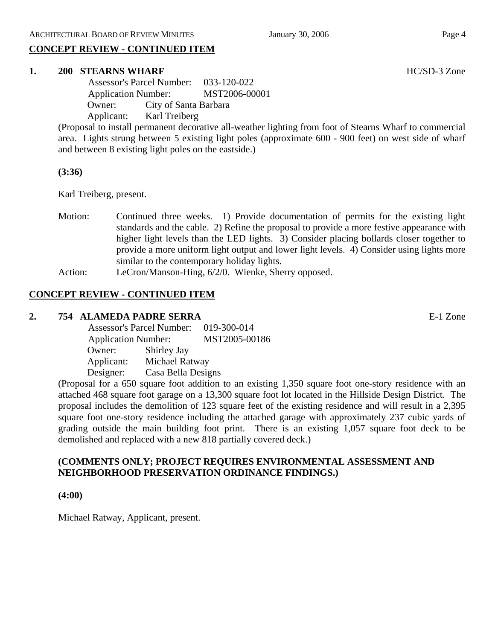# **CONCEPT REVIEW - CONTINUED ITEM**

#### **1. 200 STEARNS WHARF HC/SD-3 Zone**

 Assessor's Parcel Number: 033-120-022 Application Number: MST2006-00001 Owner: City of Santa Barbara Applicant: Karl Treiberg

(Proposal to install permanent decorative all-weather lighting from foot of Stearns Wharf to commercial area. Lights strung between 5 existing light poles (approximate 600 - 900 feet) on west side of wharf and between 8 existing light poles on the eastside.)

### **(3:36)**

Karl Treiberg, present.

- Motion: Continued three weeks. 1) Provide documentation of permits for the existing light standards and the cable. 2) Refine the proposal to provide a more festive appearance with higher light levels than the LED lights. 3) Consider placing bollards closer together to provide a more uniform light output and lower light levels. 4) Consider using lights more similar to the contemporary holiday lights.
- Action: LeCron/Manson-Hing, 6/2/0. Wienke, Sherry opposed.

# **CONCEPT REVIEW - CONTINUED ITEM**

#### **2. 754 ALAMEDA PADRE SERRA** E-1 Zone

|            | <b>Assessor's Parcel Number:</b> |  |
|------------|----------------------------------|--|
|            | <b>Application Number:</b>       |  |
| Owner:     | Shirley Jay                      |  |
| Applicant: | Michael Ratway                   |  |
| Designer:  | Casa Bella Designs               |  |

(Proposal for a 650 square foot addition to an existing 1,350 square foot one-story residence with an attached 468 square foot garage on a 13,300 square foot lot located in the Hillside Design District. The proposal includes the demolition of 123 square feet of the existing residence and will result in a 2,395 square foot one-story residence including the attached garage with approximately 237 cubic yards of grading outside the main building foot print. There is an existing 1,057 square foot deck to be demolished and replaced with a new 818 partially covered deck.)

# **(COMMENTS ONLY; PROJECT REQUIRES ENVIRONMENTAL ASSESSMENT AND NEIGHBORHOOD PRESERVATION ORDINANCE FINDINGS.)**

### **(4:00)**

Michael Ratway, Applicant, present.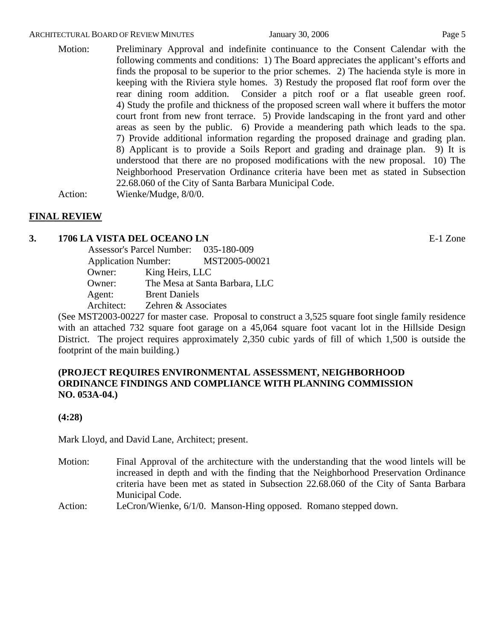#### ARCHITECTURAL BOARD OF REVIEW MINUTES **First** January 30, 2006 **Page 5** Page 5

Motion: Preliminary Approval and indefinite continuance to the Consent Calendar with the following comments and conditions: 1) The Board appreciates the applicant's efforts and finds the proposal to be superior to the prior schemes. 2) The hacienda style is more in keeping with the Riviera style homes. 3) Restudy the proposed flat roof form over the rear dining room addition. Consider a pitch roof or a flat useable green roof. 4) Study the profile and thickness of the proposed screen wall where it buffers the motor court front from new front terrace. 5) Provide landscaping in the front yard and other areas as seen by the public. 6) Provide a meandering path which leads to the spa. 7) Provide additional information regarding the proposed drainage and grading plan. 8) Applicant is to provide a Soils Report and grading and drainage plan. 9) It is understood that there are no proposed modifications with the new proposal. 10) The Neighborhood Preservation Ordinance criteria have been met as stated in Subsection 22.68.060 of the City of Santa Barbara Municipal Code.

Action: Wienke/Mudge, 8/0/0.

# **FINAL REVIEW**

### **3. 1706 LA VISTA DEL OCEANO LN** E-1 Zone

|                            | Assessor's Parcel Number: 035-180-009 |                                |
|----------------------------|---------------------------------------|--------------------------------|
| <b>Application Number:</b> |                                       | MST2005-00021                  |
| Owner:                     | King Heirs, LLC                       |                                |
| Owner:                     |                                       | The Mesa at Santa Barbara, LLC |
| Agent:                     | <b>Brent Daniels</b>                  |                                |
| Architect:                 | Zehren & Associates                   |                                |

(See MST2003-00227 for master case. Proposal to construct a 3,525 square foot single family residence with an attached 732 square foot garage on a 45,064 square foot vacant lot in the Hillside Design District. The project requires approximately 2,350 cubic yards of fill of which 1,500 is outside the footprint of the main building.)

# **(PROJECT REQUIRES ENVIRONMENTAL ASSESSMENT, NEIGHBORHOOD ORDINANCE FINDINGS AND COMPLIANCE WITH PLANNING COMMISSION NO. 053A-04.)**

#### **(4:28)**

Mark Lloyd, and David Lane, Architect; present.

- Motion: Final Approval of the architecture with the understanding that the wood lintels will be increased in depth and with the finding that the Neighborhood Preservation Ordinance criteria have been met as stated in Subsection 22.68.060 of the City of Santa Barbara Municipal Code.
- Action: LeCron/Wienke, 6/1/0. Manson-Hing opposed. Romano stepped down.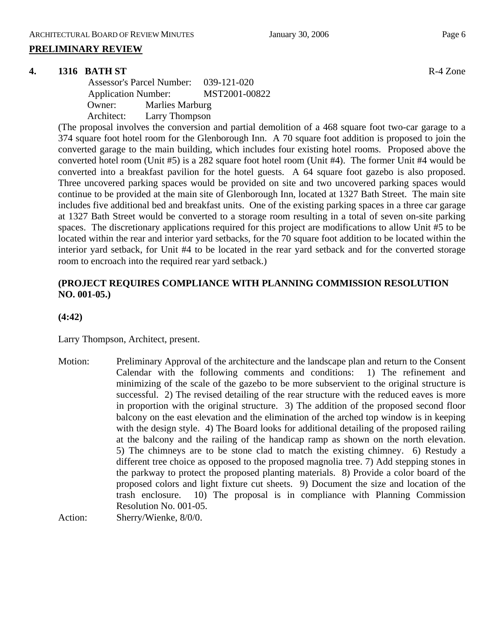#### **PRELIMINARY REVIEW**

#### **4. 1316 BATH ST** R-4 Zone

 Assessor's Parcel Number: 039-121-020 Application Number: MST2001-00822 Owner: Marlies Marburg Architect: Larry Thompson

(The proposal involves the conversion and partial demolition of a 468 square foot two-car garage to a 374 square foot hotel room for the Glenborough Inn. A 70 square foot addition is proposed to join the converted garage to the main building, which includes four existing hotel rooms. Proposed above the converted hotel room (Unit #5) is a 282 square foot hotel room (Unit #4). The former Unit #4 would be converted into a breakfast pavilion for the hotel guests. A 64 square foot gazebo is also proposed. Three uncovered parking spaces would be provided on site and two uncovered parking spaces would continue to be provided at the main site of Glenborough Inn, located at 1327 Bath Street. The main site includes five additional bed and breakfast units. One of the existing parking spaces in a three car garage at 1327 Bath Street would be converted to a storage room resulting in a total of seven on-site parking spaces. The discretionary applications required for this project are modifications to allow Unit #5 to be located within the rear and interior yard setbacks, for the 70 square foot addition to be located within the interior yard setback, for Unit #4 to be located in the rear yard setback and for the converted storage room to encroach into the required rear yard setback.)

# **(PROJECT REQUIRES COMPLIANCE WITH PLANNING COMMISSION RESOLUTION NO. 001-05.)**

**(4:42)**

Larry Thompson, Architect, present.

Motion: Preliminary Approval of the architecture and the landscape plan and return to the Consent Calendar with the following comments and conditions: 1) The refinement and minimizing of the scale of the gazebo to be more subservient to the original structure is successful. 2) The revised detailing of the rear structure with the reduced eaves is more in proportion with the original structure. 3) The addition of the proposed second floor balcony on the east elevation and the elimination of the arched top window is in keeping with the design style. 4) The Board looks for additional detailing of the proposed railing at the balcony and the railing of the handicap ramp as shown on the north elevation. 5) The chimneys are to be stone clad to match the existing chimney. 6) Restudy a different tree choice as opposed to the proposed magnolia tree. 7) Add stepping stones in the parkway to protect the proposed planting materials. 8) Provide a color board of the proposed colors and light fixture cut sheets. 9) Document the size and location of the trash enclosure. 10) The proposal is in compliance with Planning Commission Resolution No. 001-05.

Action: Sherry/Wienke, 8/0/0.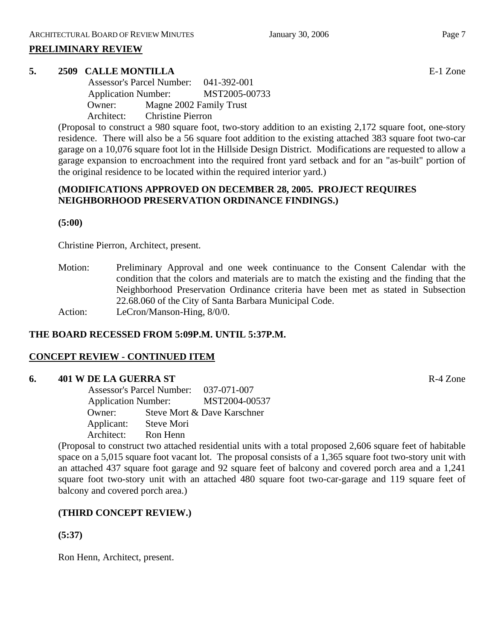#### **PRELIMINARY REVIEW**

#### **5. 2509 CALLE MONTILLA** E-1 Zone

 Assessor's Parcel Number: 041-392-001 Application Number: MST2005-00733 Owner: Magne 2002 Family Trust Architect: Christine Pierron

(Proposal to construct a 980 square foot, two-story addition to an existing 2,172 square foot, one-story residence. There will also be a 56 square foot addition to the existing attached 383 square foot two-car garage on a 10,076 square foot lot in the Hillside Design District. Modifications are requested to allow a garage expansion to encroachment into the required front yard setback and for an "as-built" portion of the original residence to be located within the required interior yard.)

### **(MODIFICATIONS APPROVED ON DECEMBER 28, 2005. PROJECT REQUIRES NEIGHBORHOOD PRESERVATION ORDINANCE FINDINGS.)**

**(5:00)** 

Christine Pierron, Architect, present.

Motion: Preliminary Approval and one week continuance to the Consent Calendar with the condition that the colors and materials are to match the existing and the finding that the Neighborhood Preservation Ordinance criteria have been met as stated in Subsection 22.68.060 of the City of Santa Barbara Municipal Code. Action: LeCron/Manson-Hing,  $8/0/0$ .

### **THE BOARD RECESSED FROM 5:09P.M. UNTIL 5:37P.M.**

### **CONCEPT REVIEW - CONTINUED ITEM**

#### **6. 401 W DE LA GUERRA ST** R-4 Zone

 Assessor's Parcel Number: 037-071-007 Application Number: MST2004-00537 Owner: Steve Mort & Dave Karschner Applicant: Steve Mori Architect: Ron Henn

(Proposal to construct two attached residential units with a total proposed 2,606 square feet of habitable space on a 5,015 square foot vacant lot. The proposal consists of a 1,365 square foot two-story unit with an attached 437 square foot garage and 92 square feet of balcony and covered porch area and a 1,241 square foot two-story unit with an attached 480 square foot two-car-garage and 119 square feet of balcony and covered porch area.)

# **(THIRD CONCEPT REVIEW.)**

**(5:37)**

Ron Henn, Architect, present.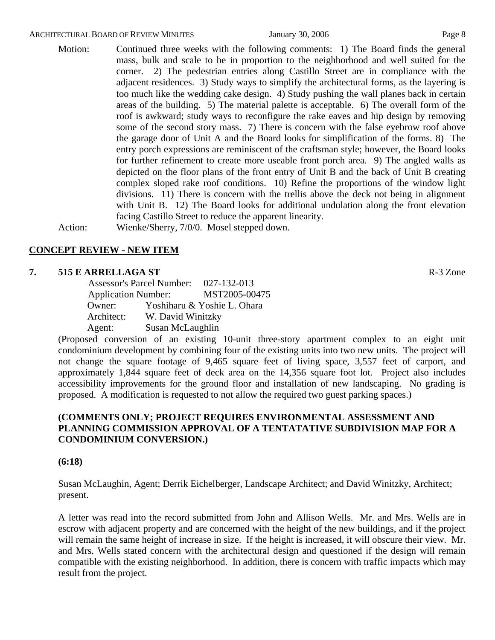#### ARCHITECTURAL BOARD OF REVIEW MINUTES **First** January 30, 2006 **Page 8**

Motion: Continued three weeks with the following comments: 1) The Board finds the general mass, bulk and scale to be in proportion to the neighborhood and well suited for the corner. 2) The pedestrian entries along Castillo Street are in compliance with the adjacent residences. 3) Study ways to simplify the architectural forms, as the layering is too much like the wedding cake design. 4) Study pushing the wall planes back in certain areas of the building. 5) The material palette is acceptable. 6) The overall form of the roof is awkward; study ways to reconfigure the rake eaves and hip design by removing some of the second story mass. 7) There is concern with the false eyebrow roof above the garage door of Unit A and the Board looks for simplification of the forms. 8) The entry porch expressions are reminiscent of the craftsman style; however, the Board looks for further refinement to create more useable front porch area. 9) The angled walls as depicted on the floor plans of the front entry of Unit B and the back of Unit B creating complex sloped rake roof conditions. 10) Refine the proportions of the window light divisions. 11) There is concern with the trellis above the deck not being in alignment with Unit B. 12) The Board looks for additional undulation along the front elevation facing Castillo Street to reduce the apparent linearity.

Action: Wienke/Sherry, 7/0/0. Mosel stepped down.

### **CONCEPT REVIEW - NEW ITEM**

#### **7. 515 E ARRELLAGA ST** R-3 Zone

|                            | <b>Assessor's Parcel Number:</b> | 027-132-013                 |
|----------------------------|----------------------------------|-----------------------------|
| <b>Application Number:</b> |                                  | MST2005-00475               |
| Owner:                     |                                  | Yoshiharu & Yoshie L. Ohara |
| Architect:                 | W. David Winitzky                |                             |
| Agent:                     | Susan McLaughlin                 |                             |

(Proposed conversion of an existing 10-unit three-story apartment complex to an eight unit condominium development by combining four of the existing units into two new units. The project will not change the square footage of 9,465 square feet of living space, 3,557 feet of carport, and approximately 1,844 square feet of deck area on the 14,356 square foot lot. Project also includes accessibility improvements for the ground floor and installation of new landscaping. No grading is proposed. A modification is requested to not allow the required two guest parking spaces.)

### **(COMMENTS ONLY; PROJECT REQUIRES ENVIRONMENTAL ASSESSMENT AND PLANNING COMMISSION APPROVAL OF A TENTATATIVE SUBDIVISION MAP FOR A CONDOMINIUM CONVERSION.)**

#### **(6:18)**

Susan McLaughin, Agent; Derrik Eichelberger, Landscape Architect; and David Winitzky, Architect; present.

A letter was read into the record submitted from John and Allison Wells. Mr. and Mrs. Wells are in escrow with adjacent property and are concerned with the height of the new buildings, and if the project will remain the same height of increase in size. If the height is increased, it will obscure their view. Mr. and Mrs. Wells stated concern with the architectural design and questioned if the design will remain compatible with the existing neighborhood. In addition, there is concern with traffic impacts which may result from the project.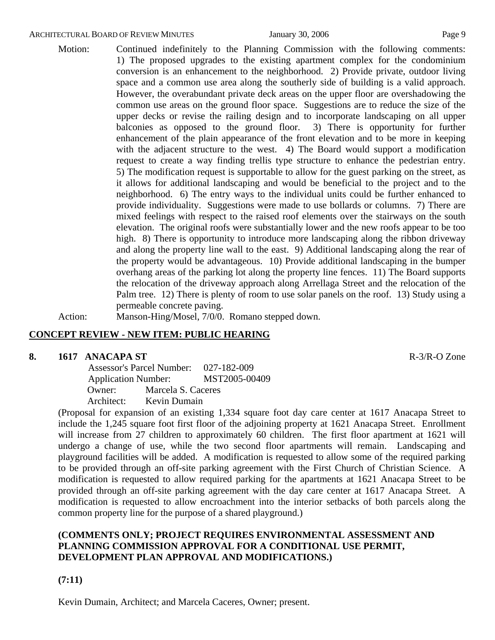#### ARCHITECTURAL BOARD OF REVIEW MINUTES January 30, 2006 **Page 9** Page 9

Motion: Continued indefinitely to the Planning Commission with the following comments: 1) The proposed upgrades to the existing apartment complex for the condominium conversion is an enhancement to the neighborhood. 2) Provide private, outdoor living space and a common use area along the southerly side of building is a valid approach. However, the overabundant private deck areas on the upper floor are overshadowing the common use areas on the ground floor space. Suggestions are to reduce the size of the upper decks or revise the railing design and to incorporate landscaping on all upper balconies as opposed to the ground floor. 3) There is opportunity for further enhancement of the plain appearance of the front elevation and to be more in keeping with the adjacent structure to the west. 4) The Board would support a modification request to create a way finding trellis type structure to enhance the pedestrian entry. 5) The modification request is supportable to allow for the guest parking on the street, as it allows for additional landscaping and would be beneficial to the project and to the neighborhood. 6) The entry ways to the individual units could be further enhanced to provide individuality. Suggestions were made to use bollards or columns. 7) There are mixed feelings with respect to the raised roof elements over the stairways on the south elevation. The original roofs were substantially lower and the new roofs appear to be too high. 8) There is opportunity to introduce more landscaping along the ribbon driveway and along the property line wall to the east. 9) Additional landscaping along the rear of the property would be advantageous. 10) Provide additional landscaping in the bumper overhang areas of the parking lot along the property line fences. 11) The Board supports the relocation of the driveway approach along Arrellaga Street and the relocation of the Palm tree. 12) There is plenty of room to use solar panels on the roof. 13) Study using a permeable concrete paving.

Action: Manson-Hing/Mosel, 7/0/0. Romano stepped down.

### **CONCEPT REVIEW - NEW ITEM: PUBLIC HEARING**

#### **8. 1617 ANACAPA ST** R-3/R-O Zone

 Assessor's Parcel Number: 027-182-009 Application Number: MST2005-00409 Owner: Marcela S. Caceres Architect: Kevin Dumain

(Proposal for expansion of an existing 1,334 square foot day care center at 1617 Anacapa Street to include the 1,245 square foot first floor of the adjoining property at 1621 Anacapa Street. Enrollment will increase from 27 children to approximately 60 children. The first floor apartment at 1621 will undergo a change of use, while the two second floor apartments will remain. Landscaping and playground facilities will be added. A modification is requested to allow some of the required parking to be provided through an off-site parking agreement with the First Church of Christian Science. A modification is requested to allow required parking for the apartments at 1621 Anacapa Street to be provided through an off-site parking agreement with the day care center at 1617 Anacapa Street. A modification is requested to allow encroachment into the interior setbacks of both parcels along the common property line for the purpose of a shared playground.)

# **(COMMENTS ONLY; PROJECT REQUIRES ENVIRONMENTAL ASSESSMENT AND PLANNING COMMISSION APPROVAL FOR A CONDITIONAL USE PERMIT, DEVELOPMENT PLAN APPROVAL AND MODIFICATIONS.)**

**(7:11)**

Kevin Dumain, Architect; and Marcela Caceres, Owner; present.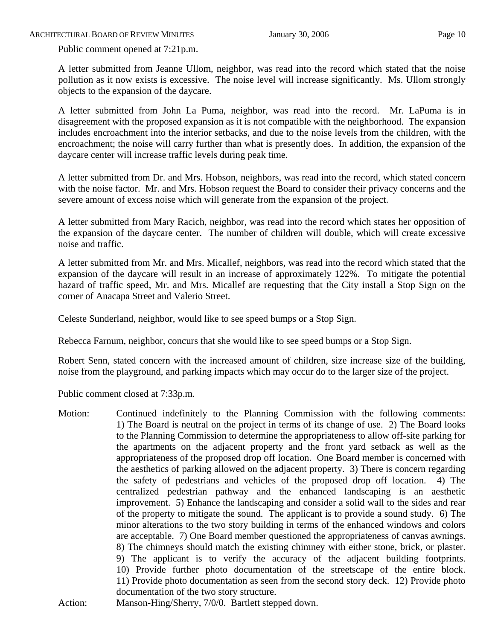Public comment opened at 7:21p.m.

A letter submitted from Jeanne Ullom, neighbor, was read into the record which stated that the noise pollution as it now exists is excessive. The noise level will increase significantly. Ms. Ullom strongly objects to the expansion of the daycare.

A letter submitted from John La Puma, neighbor, was read into the record. Mr. LaPuma is in disagreement with the proposed expansion as it is not compatible with the neighborhood. The expansion includes encroachment into the interior setbacks, and due to the noise levels from the children, with the encroachment; the noise will carry further than what is presently does. In addition, the expansion of the daycare center will increase traffic levels during peak time.

A letter submitted from Dr. and Mrs. Hobson, neighbors, was read into the record, which stated concern with the noise factor. Mr. and Mrs. Hobson request the Board to consider their privacy concerns and the severe amount of excess noise which will generate from the expansion of the project.

A letter submitted from Mary Racich, neighbor, was read into the record which states her opposition of the expansion of the daycare center. The number of children will double, which will create excessive noise and traffic.

A letter submitted from Mr. and Mrs. Micallef, neighbors, was read into the record which stated that the expansion of the daycare will result in an increase of approximately 122%. To mitigate the potential hazard of traffic speed, Mr. and Mrs. Micallef are requesting that the City install a Stop Sign on the corner of Anacapa Street and Valerio Street.

Celeste Sunderland, neighbor, would like to see speed bumps or a Stop Sign.

Rebecca Farnum, neighbor, concurs that she would like to see speed bumps or a Stop Sign.

Robert Senn, stated concern with the increased amount of children, size increase size of the building, noise from the playground, and parking impacts which may occur do to the larger size of the project.

Public comment closed at 7:33p.m.

Motion: Continued indefinitely to the Planning Commission with the following comments: 1) The Board is neutral on the project in terms of its change of use. 2) The Board looks to the Planning Commission to determine the appropriateness to allow off-site parking for the apartments on the adjacent property and the front yard setback as well as the appropriateness of the proposed drop off location. One Board member is concerned with the aesthetics of parking allowed on the adjacent property. 3) There is concern regarding the safety of pedestrians and vehicles of the proposed drop off location. 4) The centralized pedestrian pathway and the enhanced landscaping is an aesthetic improvement. 5) Enhance the landscaping and consider a solid wall to the sides and rear of the property to mitigate the sound. The applicant is to provide a sound study. 6) The minor alterations to the two story building in terms of the enhanced windows and colors are acceptable. 7) One Board member questioned the appropriateness of canvas awnings. 8) The chimneys should match the existing chimney with either stone, brick, or plaster. 9) The applicant is to verify the accuracy of the adjacent building footprints. 10) Provide further photo documentation of the streetscape of the entire block. 11) Provide photo documentation as seen from the second story deck. 12) Provide photo documentation of the two story structure.

Action: Manson-Hing/Sherry, 7/0/0. Bartlett stepped down.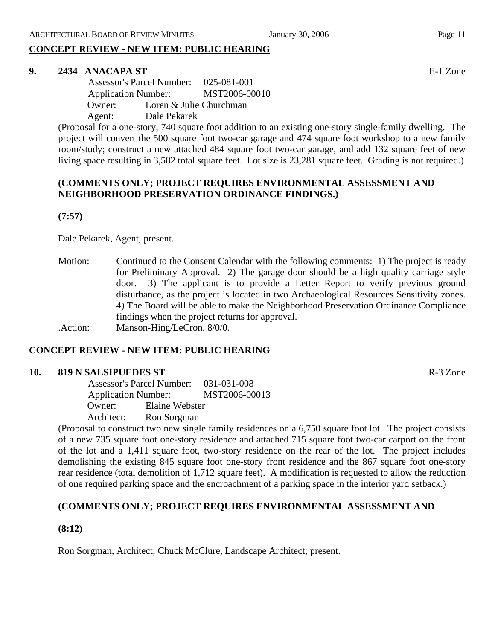# **CONCEPT REVIEW - NEW ITEM: PUBLIC HEARING**

#### **9. 2434 ANACAPA ST** E-1 Zone

 Assessor's Parcel Number: 025-081-001 Application Number: MST2006-00010 Owner: Loren & Julie Churchman Agent: Dale Pekarek

(Proposal for a one-story, 740 square foot addition to an existing one-story single-family dwelling. The project will convert the 500 square foot two-car garage and 474 square foot workshop to a new family room/study; construct a new attached 484 square foot two-car garage, and add 132 square feet of new living space resulting in 3,582 total square feet. Lot size is 23,281 square feet. Grading is not required.)

# **(COMMENTS ONLY; PROJECT REQUIRES ENVIRONMENTAL ASSESSMENT AND NEIGHBORHOOD PRESERVATION ORDINANCE FINDINGS.)**

**(7:57)** 

Dale Pekarek, Agent, present.

Motion: Continued to the Consent Calendar with the following comments: 1) The project is ready for Preliminary Approval. 2) The garage door should be a high quality carriage style door. 3) The applicant is to provide a Letter Report to verify previous ground disturbance, as the project is located in two Archaeological Resources Sensitivity zones. 4) The Board will be able to make the Neighborhood Preservation Ordinance Compliance findings when the project returns for approval.

.Action: Manson-Hing/LeCron, 8/0/0.

### **CONCEPT REVIEW - NEW ITEM: PUBLIC HEARING**

#### **10. 819 N SALSIPUEDES ST** R-3 Zone

 Assessor's Parcel Number: 031-031-008 Application Number: MST2006-00013 Owner: Elaine Webster Architect: Ron Sorgman

(Proposal to construct two new single family residences on a 6,750 square foot lot. The project consists of a new 735 square foot one-story residence and attached 715 square foot two-car carport on the front of the lot and a 1,411 square foot, two-story residence on the rear of the lot. The project includes demolishing the existing 845 square foot one-story front residence and the 867 square foot one-story rear residence (total demolition of 1,712 square feet). A modification is requested to allow the reduction of one required parking space and the encroachment of a parking space in the interior yard setback.)

# **(COMMENTS ONLY; PROJECT REQUIRES ENVIRONMENTAL ASSESSMENT AND**

**(8:12)**

Ron Sorgman, Architect; Chuck McClure, Landscape Architect; present.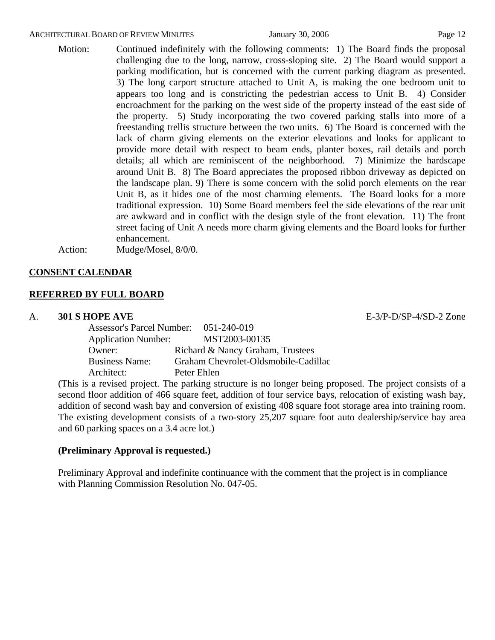#### ARCHITECTURAL BOARD OF REVIEW MINUTES January 30, 2006 Page 12

Motion: Continued indefinitely with the following comments: 1) The Board finds the proposal challenging due to the long, narrow, cross-sloping site. 2) The Board would support a parking modification, but is concerned with the current parking diagram as presented. 3) The long carport structure attached to Unit A, is making the one bedroom unit to appears too long and is constricting the pedestrian access to Unit B. 4) Consider encroachment for the parking on the west side of the property instead of the east side of the property. 5) Study incorporating the two covered parking stalls into more of a freestanding trellis structure between the two units. 6) The Board is concerned with the lack of charm giving elements on the exterior elevations and looks for applicant to provide more detail with respect to beam ends, planter boxes, rail details and porch details; all which are reminiscent of the neighborhood. 7) Minimize the hardscape around Unit B. 8) The Board appreciates the proposed ribbon driveway as depicted on the landscape plan. 9) There is some concern with the solid porch elements on the rear Unit B, as it hides one of the most charming elements. The Board looks for a more traditional expression. 10) Some Board members feel the side elevations of the rear unit are awkward and in conflict with the design style of the front elevation. 11) The front street facing of Unit A needs more charm giving elements and the Board looks for further enhancement.

Action: Mudge/Mosel, 8/0/0.

### **CONSENT CALENDAR**

#### **REFERRED BY FULL BOARD**

#### A. **301 S HOPE AVE** E-3/P-D/SP-4/SD-2 Zone

| <b>Assessor's Parcel Number:</b> | 051-240-019                          |
|----------------------------------|--------------------------------------|
| <b>Application Number:</b>       | MST2003-00135                        |
| Owner:                           | Richard & Nancy Graham, Trustees     |
| <b>Business Name:</b>            | Graham Chevrolet-Oldsmobile-Cadillac |
| Architect:                       | Peter Ehlen                          |

(This is a revised project. The parking structure is no longer being proposed. The project consists of a second floor addition of 466 square feet, addition of four service bays, relocation of existing wash bay, addition of second wash bay and conversion of existing 408 square foot storage area into training room. The existing development consists of a two-story 25,207 square foot auto dealership/service bay area and 60 parking spaces on a 3.4 acre lot.)

### **(Preliminary Approval is requested.)**

Preliminary Approval and indefinite continuance with the comment that the project is in compliance with Planning Commission Resolution No. 047-05.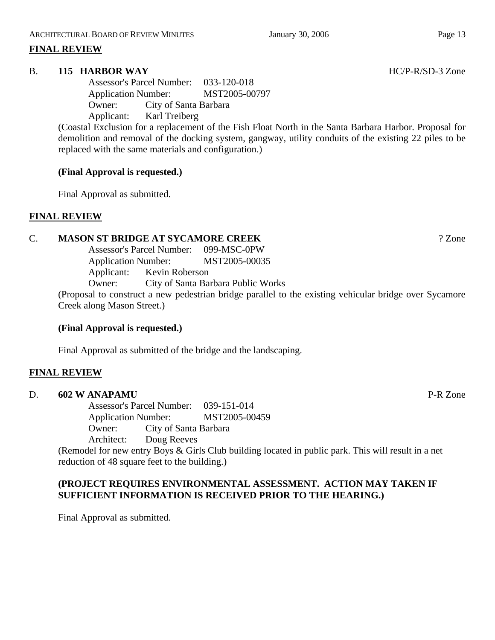# **FINAL REVIEW**

# B. **115 HARBOR WAY** HC/P-R/SD-3 Zone

Assessor's Parcel Number: 033-120-018 Application Number: MST2005-00797 Owner: City of Santa Barbara Applicant: Karl Treiberg

(Coastal Exclusion for a replacement of the Fish Float North in the Santa Barbara Harbor. Proposal for demolition and removal of the docking system, gangway, utility conduits of the existing 22 piles to be replaced with the same materials and configuration.)

# **(Final Approval is requested.)**

Final Approval as submitted.

# **FINAL REVIEW**

# C. **MASON ST BRIDGE AT SYCAMORE CREEK** ? Zone

Assessor's Parcel Number: 099-MSC-0PW Application Number: MST2005-00035 Applicant: Kevin Roberson Owner: City of Santa Barbara Public Works

(Proposal to construct a new pedestrian bridge parallel to the existing vehicular bridge over Sycamore Creek along Mason Street.)

# **(Final Approval is requested.)**

Final Approval as submitted of the bridge and the landscaping.

# **FINAL REVIEW**

### D. **602 W ANAPAMU** P-R Zone

Assessor's Parcel Number: 039-151-014 Application Number: MST2005-00459 Owner: City of Santa Barbara

Architect: Doug Reeves

(Remodel for new entry Boys & Girls Club building located in public park. This will result in a net reduction of 48 square feet to the building.)

# **(PROJECT REQUIRES ENVIRONMENTAL ASSESSMENT. ACTION MAY TAKEN IF SUFFICIENT INFORMATION IS RECEIVED PRIOR TO THE HEARING.)**

Final Approval as submitted.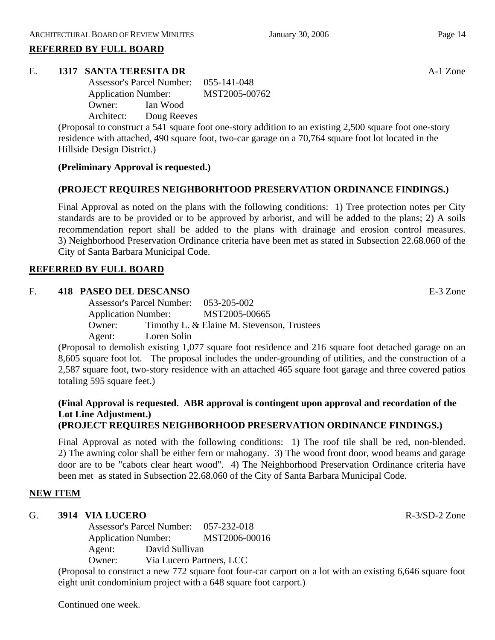# **REFERRED BY FULL BOARD**

### E. **1317 SANTA TERESITA DR** A-1 Zone

Assessor's Parcel Number: 055-141-048 Application Number: MST2005-00762 Owner: Ian Wood Architect: Doug Reeves

(Proposal to construct a 541 square foot one-story addition to an existing 2,500 square foot one-story residence with attached, 490 square foot, two-car garage on a 70,764 square foot lot located in the Hillside Design District.)

# **(Preliminary Approval is requested.)**

# **(PROJECT REQUIRES NEIGHBORHTOOD PRESERVATION ORDINANCE FINDINGS.)**

Final Approval as noted on the plans with the following conditions: 1) Tree protection notes per City standards are to be provided or to be approved by arborist, and will be added to the plans; 2) A soils recommendation report shall be added to the plans with drainage and erosion control measures. 3) Neighborhood Preservation Ordinance criteria have been met as stated in Subsection 22.68.060 of the City of Santa Barbara Municipal Code.

# **REFERRED BY FULL BOARD**

# F. **418 PASEO DEL DESCANSO** E-3 Zone

Assessor's Parcel Number: 053-205-002 Application Number: MST2005-00665 Owner: Timothy L. & Elaine M. Stevenson, Trustees Agent: Loren Solin

(Proposal to demolish existing 1,077 square foot residence and 216 square foot detached garage on an 8,605 square foot lot. The proposal includes the under-grounding of utilities, and the construction of a 2,587 square foot, two-story residence with an attached 465 square foot garage and three covered patios totaling 595 square feet.)

#### **(Final Approval is requested. ABR approval is contingent upon approval and recordation of the Lot Line Adjustment.) (PROJECT REQUIRES NEIGHBORHOOD PRESERVATION ORDINANCE FINDINGS.)**

Final Approval as noted with the following conditions: 1) The roof tile shall be red, non-blended. 2) The awning color shall be either fern or mahogany. 3) The wood front door, wood beams and garage door are to be "cabots clear heart wood". 4) The Neighborhood Preservation Ordinance criteria have been met as stated in Subsection 22.68.060 of the City of Santa Barbara Municipal Code.

# **NEW ITEM**

### G. **3914 VIA LUCERO R-3/SD-2** Zone

Assessor's Parcel Number: 057-232-018 Application Number: MST2006-00016 Agent: David Sullivan Owner: Via Lucero Partners, LCC

(Proposal to construct a new 772 square foot four-car carport on a lot with an existing 6,646 square foot eight unit condominium project with a 648 square foot carport.)

Continued one week.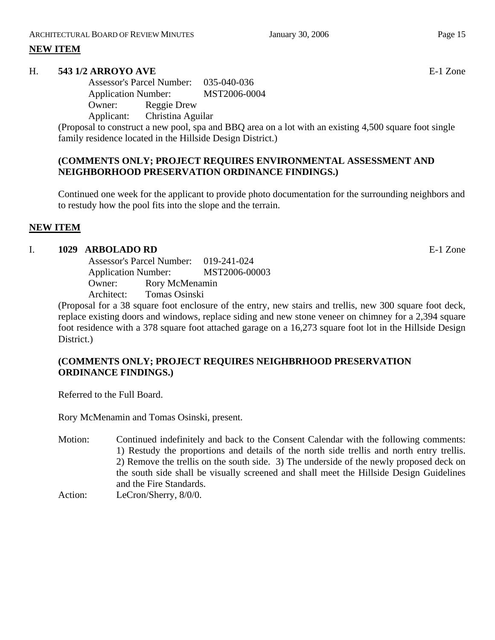# **NEW ITEM**

#### H. **543 1/2 ARROYO AVE** E-1 Zone

Assessor's Parcel Number: 035-040-036 Application Number: MST2006-0004 Owner: Reggie Drew

Applicant: Christina Aguilar

(Proposal to construct a new pool, spa and BBQ area on a lot with an existing 4,500 square foot single family residence located in the Hillside Design District.)

# **(COMMENTS ONLY; PROJECT REQUIRES ENVIRONMENTAL ASSESSMENT AND NEIGHBORHOOD PRESERVATION ORDINANCE FINDINGS.)**

Continued one week for the applicant to provide photo documentation for the surrounding neighbors and to restudy how the pool fits into the slope and the terrain.

# **NEW ITEM**

#### I. **1029 ARBOLADO RD** E-1 Zone

Assessor's Parcel Number: 019-241-024 Application Number: MST2006-00003 Owner: Rory McMenamin Architect: Tomas Osinski

(Proposal for a 38 square foot enclosure of the entry, new stairs and trellis, new 300 square foot deck, replace existing doors and windows, replace siding and new stone veneer on chimney for a 2,394 square foot residence with a 378 square foot attached garage on a 16,273 square foot lot in the Hillside Design District.)

### **(COMMENTS ONLY; PROJECT REQUIRES NEIGHBRHOOD PRESERVATION ORDINANCE FINDINGS.)**

Referred to the Full Board.

Rory McMenamin and Tomas Osinski, present.

Motion: Continued indefinitely and back to the Consent Calendar with the following comments: 1) Restudy the proportions and details of the north side trellis and north entry trellis. 2) Remove the trellis on the south side. 3) The underside of the newly proposed deck on the south side shall be visually screened and shall meet the Hillside Design Guidelines and the Fire Standards.

Action: LeCron/Sherry,  $8/0/0$ .